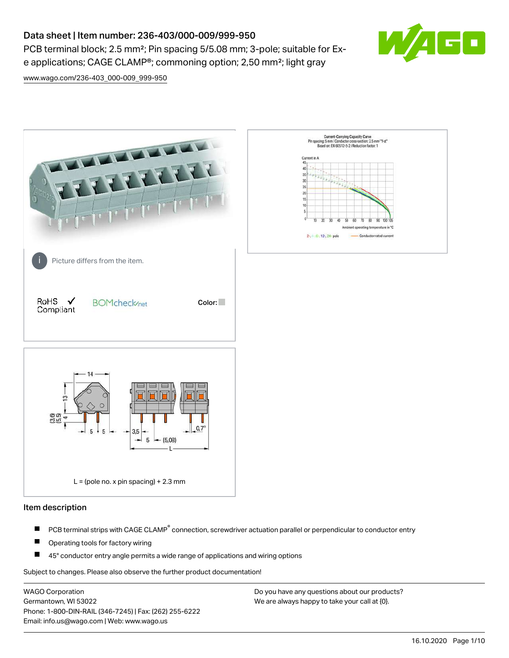# Data sheet | Item number: 236-403/000-009/999-950

PCB terminal block; 2.5 mm<sup>2</sup>; Pin spacing 5/5.08 mm; 3-pole; suitable for Exe applications; CAGE CLAMP®; commoning option; 2,50 mm²; light gray



[www.wago.com/236-403\\_000-009\\_999-950](http://www.wago.com/236-403_000-009_999-950)



#### Item description

- PCB terminal strips with CAGE CLAMP<sup>®</sup> connection, screwdriver actuation parallel or perpendicular to conductor entry П
- П Operating tools for factory wiring
- П 45° conductor entry angle permits a wide range of applications and wiring options

Subject to changes. Please also observe the further product documentation!

WAGO Corporation Germantown, WI 53022 Phone: 1-800-DIN-RAIL (346-7245) | Fax: (262) 255-6222 Email: info.us@wago.com | Web: www.wago.us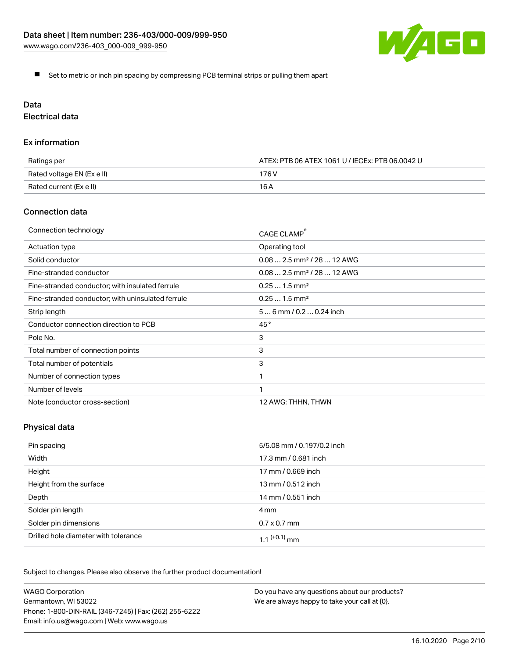

Set to metric or inch pin spacing by compressing PCB terminal strips or pulling them apart

# Data

Electrical data

#### Ex information

| Ratings per                | ATEX: PTB 06 ATEX 1061 U / IECEx: PTB 06.0042 U |  |
|----------------------------|-------------------------------------------------|--|
| Rated voltage EN (Ex e II) | 176 V                                           |  |
| Rated current (Ex e II)    | 16 A                                            |  |

### Connection data

| Connection technology                             | CAGE CLAMP <sup>®</sup>                 |
|---------------------------------------------------|-----------------------------------------|
| Actuation type                                    | Operating tool                          |
| Solid conductor                                   | $0.08$ 2.5 mm <sup>2</sup> / 28  12 AWG |
| Fine-stranded conductor                           | $0.08$ 2.5 mm <sup>2</sup> / 28  12 AWG |
| Fine-stranded conductor; with insulated ferrule   | $0.251.5$ mm <sup>2</sup>               |
| Fine-stranded conductor; with uninsulated ferrule | $0.251.5$ mm <sup>2</sup>               |
| Strip length                                      | $56$ mm $/ 0.20.24$ inch                |
| Conductor connection direction to PCB             | 45°                                     |
| Pole No.                                          | 3                                       |
| Total number of connection points                 | 3                                       |
| Total number of potentials                        | 3                                       |
| Number of connection types                        |                                         |
| Number of levels                                  | 1                                       |
| Note (conductor cross-section)                    | 12 AWG: THHN, THWN                      |

# Physical data

| Pin spacing                          | 5/5.08 mm / 0.197/0.2 inch |
|--------------------------------------|----------------------------|
| Width                                | 17.3 mm / 0.681 inch       |
| Height                               | 17 mm / 0.669 inch         |
| Height from the surface              | 13 mm / 0.512 inch         |
| Depth                                | 14 mm / 0.551 inch         |
| Solder pin length                    | 4 mm                       |
| Solder pin dimensions                | $0.7 \times 0.7$ mm        |
| Drilled hole diameter with tolerance | $1.1$ <sup>(+0.1)</sup> mm |

Subject to changes. Please also observe the further product documentation!

| <b>WAGO Corporation</b>                                | Do you have any questions about our products? |
|--------------------------------------------------------|-----------------------------------------------|
| Germantown, WI 53022                                   | We are always happy to take your call at {0}. |
| Phone: 1-800-DIN-RAIL (346-7245)   Fax: (262) 255-6222 |                                               |
| Email: info.us@wago.com   Web: www.wago.us             |                                               |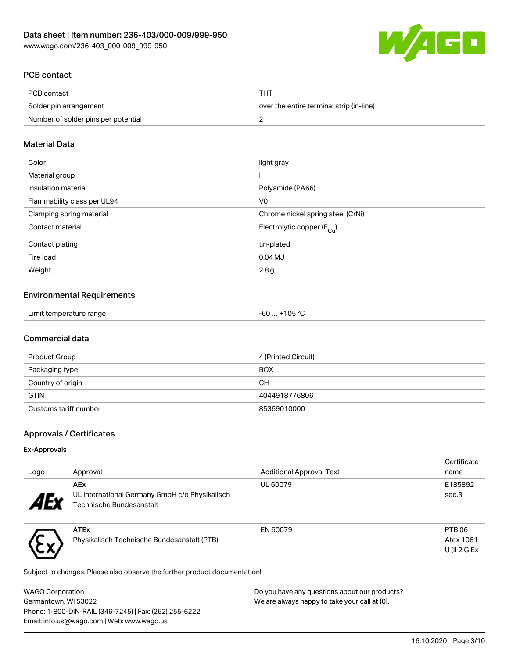

# PCB contact

| PCB contact                         | тнт                                      |
|-------------------------------------|------------------------------------------|
| Solder pin arrangement              | over the entire terminal strip (in-line) |
| Number of solder pins per potential |                                          |

# Material Data

| Color                       | light gray                            |
|-----------------------------|---------------------------------------|
| Material group              |                                       |
| Insulation material         | Polyamide (PA66)                      |
| Flammability class per UL94 | V <sub>0</sub>                        |
| Clamping spring material    | Chrome nickel spring steel (CrNi)     |
| Contact material            | Electrolytic copper $(E_{\text{Cu}})$ |
| Contact plating             | tin-plated                            |
| Fire load                   | $0.04$ MJ                             |
| Weight                      | 2.8g                                  |

#### Environmental Requirements

| Limit temperature range | -60  +105 °C |  |
|-------------------------|--------------|--|
|-------------------------|--------------|--|

# Commercial data

| Product Group         | 4 (Printed Circuit) |
|-----------------------|---------------------|
| Packaging type        | <b>BOX</b>          |
| Country of origin     | CН                  |
| <b>GTIN</b>           | 4044918776806       |
| Customs tariff number | 85369010000         |

# Approvals / Certificates

#### Ex-Approvals

\CX/

| Logo                  | Approval                                                                                 | <b>Additional Approval Text</b> | Certificate<br>name            |
|-----------------------|------------------------------------------------------------------------------------------|---------------------------------|--------------------------------|
| <b>AE<sub>y</sub></b> | <b>AEx</b><br>UL International Germany GmbH c/o Physikalisch<br>Technische Bundesanstalt | <b>UL 60079</b>                 | E185892<br>sec.3               |
|                       | <b>ATEx</b><br>Physikalisch Technische Bundesanstalt (PTB)                               | EN 60079                        | PTB <sub>06</sub><br>Atex 1061 |

Subject to changes. Please also observe the further product documentation!

| WAGO Corporation                                       | Do you have any questions about our products? |
|--------------------------------------------------------|-----------------------------------------------|
| Germantown, WI 53022                                   | We are always happy to take your call at {0}. |
| Phone: 1-800-DIN-RAIL (346-7245)   Fax: (262) 255-6222 |                                               |
| Email: info.us@wago.com   Web: www.wago.us             |                                               |

U (II 2 G Ex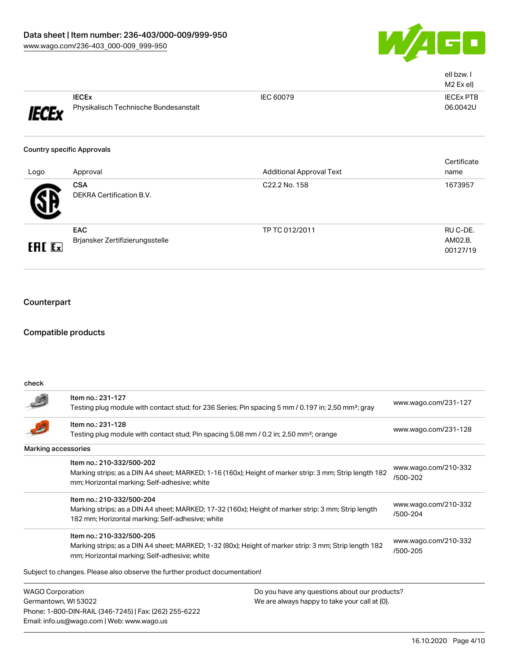

|                |                                                       |                                                  | ell bzw. I<br>M2 Ex el)         |
|----------------|-------------------------------------------------------|--------------------------------------------------|---------------------------------|
| <b>IECEx</b>   | <b>IECEX</b><br>Physikalisch Technische Bundesanstalt | IEC 60079                                        | <b>IECEX PTB</b><br>06.0042U    |
|                | <b>Country specific Approvals</b>                     |                                                  | Certificate                     |
| Logo           | Approval<br><b>CSA</b><br>DEKRA Certification B.V.    | <b>Additional Approval Text</b><br>C22.2 No. 158 | name<br>1673957                 |
| <b>EAL Exi</b> | <b>EAC</b><br>Brjansker Zertifizierungsstelle         | TP TC 012/2011                                   | RU C-DE.<br>AM02.B.<br>00127/19 |

# **Counterpart**

## Compatible products

Email: info.us@wago.com | Web: www.wago.us

| check                   |                                                                                                                                                                                      |                                               |                                  |
|-------------------------|--------------------------------------------------------------------------------------------------------------------------------------------------------------------------------------|-----------------------------------------------|----------------------------------|
|                         | Item no.: 231-127<br>Testing plug module with contact stud; for 236 Series; Pin spacing 5 mm / 0.197 in; 2,50 mm <sup>2</sup> ; gray                                                 |                                               | www.wago.com/231-127             |
|                         | Item no.: 231-128<br>Testing plug module with contact stud; Pin spacing 5.08 mm / 0.2 in; 2,50 mm <sup>2</sup> ; orange                                                              |                                               | www.wago.com/231-128             |
|                         | Marking accessories                                                                                                                                                                  |                                               |                                  |
|                         | Item no.: 210-332/500-202<br>Marking strips; as a DIN A4 sheet; MARKED; 1-16 (160x); Height of marker strip: 3 mm; Strip length 182<br>mm; Horizontal marking; Self-adhesive; white  |                                               | www.wago.com/210-332<br>/500-202 |
|                         | Item no.: 210-332/500-204<br>Marking strips; as a DIN A4 sheet; MARKED; 17-32 (160x); Height of marker strip: 3 mm; Strip length<br>182 mm; Horizontal marking; Self-adhesive; white |                                               | www.wago.com/210-332<br>/500-204 |
|                         | Item no.: 210-332/500-205<br>Marking strips; as a DIN A4 sheet; MARKED; 1-32 (80x); Height of marker strip: 3 mm; Strip length 182<br>mm; Horizontal marking; Self-adhesive; white   |                                               | www.wago.com/210-332<br>/500-205 |
|                         | Subject to changes. Please also observe the further product documentation!                                                                                                           |                                               |                                  |
| <b>WAGO Corporation</b> |                                                                                                                                                                                      | Do you have any questions about our products? |                                  |
|                         | Germantown, WI 53022<br>Phone: 1-800-DIN-RAIL (346-7245)   Fax: (262) 255-6222                                                                                                       | We are always happy to take your call at {0}. |                                  |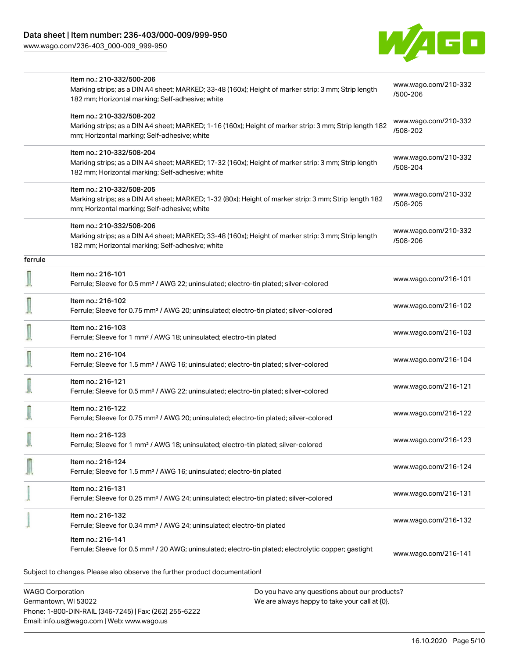Phone: 1-800-DIN-RAIL (346-7245) | Fax: (262) 255-6222

Email: info.us@wago.com | Web: www.wago.us

[www.wago.com/236-403\\_000-009\\_999-950](http://www.wago.com/236-403_000-009_999-950)



|                         | Item no.: 210-332/500-206                                                                                                                               |                                               |                                  |
|-------------------------|---------------------------------------------------------------------------------------------------------------------------------------------------------|-----------------------------------------------|----------------------------------|
|                         | Marking strips; as a DIN A4 sheet; MARKED; 33-48 (160x); Height of marker strip: 3 mm; Strip length<br>182 mm; Horizontal marking; Self-adhesive; white |                                               | www.wago.com/210-332<br>/500-206 |
|                         | Item no.: 210-332/508-202                                                                                                                               |                                               | www.wago.com/210-332             |
|                         | Marking strips; as a DIN A4 sheet; MARKED; 1-16 (160x); Height of marker strip: 3 mm; Strip length 182<br>mm; Horizontal marking; Self-adhesive; white  |                                               | /508-202                         |
|                         | Item no.: 210-332/508-204                                                                                                                               |                                               | www.wago.com/210-332             |
|                         | Marking strips; as a DIN A4 sheet; MARKED; 17-32 (160x); Height of marker strip: 3 mm; Strip length<br>182 mm; Horizontal marking; Self-adhesive; white |                                               | /508-204                         |
|                         | Item no.: 210-332/508-205                                                                                                                               |                                               | www.wago.com/210-332             |
|                         | Marking strips; as a DIN A4 sheet; MARKED; 1-32 (80x); Height of marker strip: 3 mm; Strip length 182<br>mm; Horizontal marking; Self-adhesive; white   |                                               | /508-205                         |
|                         | Item no.: 210-332/508-206                                                                                                                               |                                               |                                  |
|                         | Marking strips; as a DIN A4 sheet; MARKED; 33-48 (160x); Height of marker strip: 3 mm; Strip length<br>182 mm; Horizontal marking; Self-adhesive; white |                                               | www.wago.com/210-332<br>/508-206 |
| ferrule                 |                                                                                                                                                         |                                               |                                  |
|                         | Item no.: 216-101                                                                                                                                       |                                               | www.wago.com/216-101             |
|                         | Ferrule; Sleeve for 0.5 mm <sup>2</sup> / AWG 22; uninsulated; electro-tin plated; silver-colored                                                       |                                               |                                  |
|                         | Item no.: 216-102<br>Ferrule; Sleeve for 0.75 mm <sup>2</sup> / AWG 20; uninsulated; electro-tin plated; silver-colored                                 |                                               | www.wago.com/216-102             |
|                         | Item no.: 216-103                                                                                                                                       |                                               |                                  |
|                         | Ferrule; Sleeve for 1 mm <sup>2</sup> / AWG 18; uninsulated; electro-tin plated                                                                         |                                               | www.wago.com/216-103             |
|                         | Item no.: 216-104                                                                                                                                       |                                               | www.wago.com/216-104             |
|                         | Ferrule; Sleeve for 1.5 mm <sup>2</sup> / AWG 16; uninsulated; electro-tin plated; silver-colored                                                       |                                               |                                  |
|                         | Item no.: 216-121                                                                                                                                       |                                               | www.wago.com/216-121             |
|                         | Ferrule; Sleeve for 0.5 mm <sup>2</sup> / AWG 22; uninsulated; electro-tin plated; silver-colored                                                       |                                               |                                  |
|                         | Item no.: 216-122                                                                                                                                       |                                               | www.wago.com/216-122             |
|                         | Ferrule; Sleeve for 0.75 mm <sup>2</sup> / AWG 20; uninsulated; electro-tin plated; silver-colored                                                      |                                               |                                  |
|                         | Item no.: 216-123<br>Ferrule; Sleeve for 1 mm <sup>2</sup> / AWG 18; uninsulated; electro-tin plated; silver-colored                                    |                                               | www.wago.com/216-123             |
|                         | Item no.: 216-124                                                                                                                                       |                                               |                                  |
|                         | Ferrule; Sleeve for 1.5 mm <sup>2</sup> / AWG 16; uninsulated; electro-tin plated                                                                       |                                               | www.wago.com/216-124             |
|                         | Item no.: 216-131                                                                                                                                       |                                               |                                  |
|                         | Ferrule; Sleeve for 0.25 mm <sup>2</sup> / AWG 24; uninsulated; electro-tin plated; silver-colored                                                      |                                               | www.wago.com/216-131             |
|                         | Item no.: 216-132                                                                                                                                       |                                               |                                  |
|                         | Ferrule; Sleeve for 0.34 mm <sup>2</sup> / AWG 24; uninsulated; electro-tin plated                                                                      |                                               | www.wago.com/216-132             |
|                         | Item no.: 216-141                                                                                                                                       |                                               |                                  |
|                         | Ferrule; Sleeve for 0.5 mm <sup>2</sup> / 20 AWG; uninsulated; electro-tin plated; electrolytic copper; gastight                                        |                                               | www.wago.com/216-141             |
|                         | Subject to changes. Please also observe the further product documentation!                                                                              |                                               |                                  |
| <b>WAGO Corporation</b> |                                                                                                                                                         | Do you have any questions about our products? |                                  |
| Germantown, WI 53022    |                                                                                                                                                         | We are always happy to take your call at {0}. |                                  |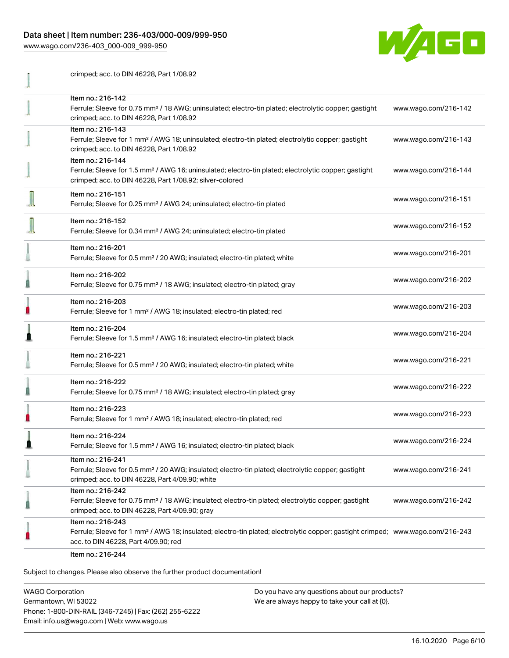# Data sheet | Item number: 236-403/000-009/999-950

[www.wago.com/236-403\\_000-009\\_999-950](http://www.wago.com/236-403_000-009_999-950)



| crimped; acc. to DIN 46228, Part 1/08.92                                                                                                                                                                |                      |
|---------------------------------------------------------------------------------------------------------------------------------------------------------------------------------------------------------|----------------------|
| Item no.: 216-142<br>Ferrule; Sleeve for 0.75 mm <sup>2</sup> / 18 AWG; uninsulated; electro-tin plated; electrolytic copper; gastight<br>crimped; acc. to DIN 46228, Part 1/08.92                      | www.wago.com/216-142 |
| Item no.: 216-143<br>Ferrule; Sleeve for 1 mm <sup>2</sup> / AWG 18; uninsulated; electro-tin plated; electrolytic copper; gastight<br>crimped; acc. to DIN 46228, Part 1/08.92                         | www.wago.com/216-143 |
| Item no.: 216-144<br>Ferrule; Sleeve for 1.5 mm <sup>2</sup> / AWG 16; uninsulated; electro-tin plated; electrolytic copper; gastight<br>crimped; acc. to DIN 46228, Part 1/08.92; silver-colored       | www.wago.com/216-144 |
| Item no.: 216-151<br>Ferrule; Sleeve for 0.25 mm <sup>2</sup> / AWG 24; uninsulated; electro-tin plated                                                                                                 | www.wago.com/216-151 |
| Item no.: 216-152<br>Ferrule; Sleeve for 0.34 mm <sup>2</sup> / AWG 24; uninsulated; electro-tin plated                                                                                                 | www.wago.com/216-152 |
| Item no.: 216-201<br>Ferrule; Sleeve for 0.5 mm <sup>2</sup> / 20 AWG; insulated; electro-tin plated; white                                                                                             | www.wago.com/216-201 |
| Item no.: 216-202<br>Ferrule; Sleeve for 0.75 mm <sup>2</sup> / 18 AWG; insulated; electro-tin plated; gray                                                                                             | www.wago.com/216-202 |
| Item no.: 216-203<br>Ferrule; Sleeve for 1 mm <sup>2</sup> / AWG 18; insulated; electro-tin plated; red                                                                                                 | www.wago.com/216-203 |
| Item no.: 216-204<br>Ferrule; Sleeve for 1.5 mm <sup>2</sup> / AWG 16; insulated; electro-tin plated; black                                                                                             | www.wago.com/216-204 |
| Item no.: 216-221<br>Ferrule; Sleeve for 0.5 mm <sup>2</sup> / 20 AWG; insulated; electro-tin plated; white                                                                                             | www.wago.com/216-221 |
| Item no.: 216-222<br>Ferrule; Sleeve for 0.75 mm <sup>2</sup> / 18 AWG; insulated; electro-tin plated; gray                                                                                             | www.wago.com/216-222 |
| Item no.: 216-223<br>Ferrule; Sleeve for 1 mm <sup>2</sup> / AWG 18; insulated; electro-tin plated; red                                                                                                 | www.wago.com/216-223 |
| Item no.: 216-224<br>Ferrule; Sleeve for 1.5 mm <sup>2</sup> / AWG 16; insulated; electro-tin plated; black                                                                                             | www.wago.com/216-224 |
| Item no.: 216-241<br>Ferrule; Sleeve for 0.5 mm <sup>2</sup> / 20 AWG; insulated; electro-tin plated; electrolytic copper; gastight<br>crimped; acc. to DIN 46228, Part 4/09.90; white                  | www.wago.com/216-241 |
| Item no.: 216-242<br>Ferrule; Sleeve for 0.75 mm <sup>2</sup> / 18 AWG; insulated; electro-tin plated; electrolytic copper; gastight<br>crimped; acc. to DIN 46228, Part 4/09.90; gray                  | www.wago.com/216-242 |
| Item no.: 216-243<br>Ferrule; Sleeve for 1 mm <sup>2</sup> / AWG 18; insulated; electro-tin plated; electrolytic copper; gastight crimped; www.wago.com/216-243<br>acc. to DIN 46228, Part 4/09.90; red |                      |
| Item no $\cdot$ 216-244                                                                                                                                                                                 |                      |

Item no.: 216-244

Subject to changes. Please also observe the further product documentation!

WAGO Corporation Germantown, WI 53022 Phone: 1-800-DIN-RAIL (346-7245) | Fax: (262) 255-6222 Email: info.us@wago.com | Web: www.wago.us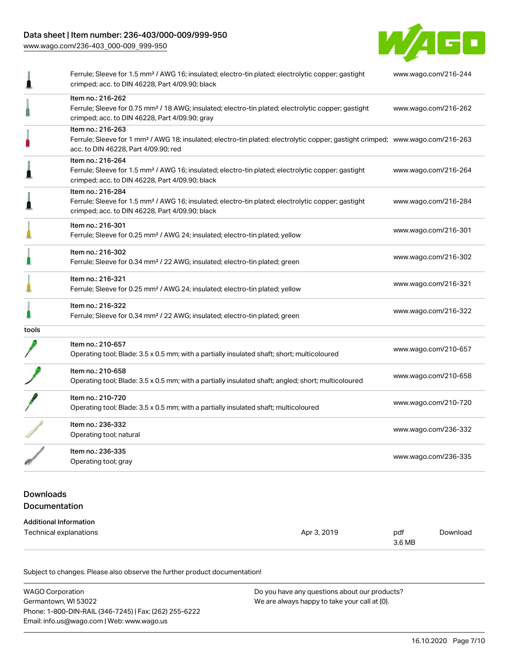## Data sheet | Item number: 236-403/000-009/999-950

[www.wago.com/236-403\\_000-009\\_999-950](http://www.wago.com/236-403_000-009_999-950)



|       | Ferrule; Sleeve for 1.5 mm <sup>2</sup> / AWG 16; insulated; electro-tin plated; electrolytic copper; gastight<br>crimped; acc. to DIN 46228, Part 4/09.90; black                                       | www.wago.com/216-244 |
|-------|---------------------------------------------------------------------------------------------------------------------------------------------------------------------------------------------------------|----------------------|
|       | Item no.: 216-262<br>Ferrule; Sleeve for 0.75 mm <sup>2</sup> / 18 AWG; insulated; electro-tin plated; electrolytic copper; gastight<br>crimped; acc. to DIN 46228, Part 4/09.90; gray                  | www.wago.com/216-262 |
|       | Item no.: 216-263<br>Ferrule; Sleeve for 1 mm <sup>2</sup> / AWG 18; insulated; electro-tin plated; electrolytic copper; gastight crimped; www.wago.com/216-263<br>acc. to DIN 46228, Part 4/09.90; red |                      |
|       | Item no.: 216-264<br>Ferrule; Sleeve for 1.5 mm <sup>2</sup> / AWG 16; insulated; electro-tin plated; electrolytic copper; gastight<br>crimped; acc. to DIN 46228, Part 4/09.90; black                  | www.wago.com/216-264 |
|       | Item no.: 216-284<br>Ferrule; Sleeve for 1.5 mm <sup>2</sup> / AWG 16; insulated; electro-tin plated; electrolytic copper; gastight<br>crimped; acc. to DIN 46228, Part 4/09.90; black                  | www.wago.com/216-284 |
|       | Item no.: 216-301<br>Ferrule; Sleeve for 0.25 mm <sup>2</sup> / AWG 24; insulated; electro-tin plated; yellow                                                                                           | www.wago.com/216-301 |
|       | Item no.: 216-302<br>Ferrule; Sleeve for 0.34 mm <sup>2</sup> / 22 AWG; insulated; electro-tin plated; green                                                                                            | www.wago.com/216-302 |
|       | Item no.: 216-321<br>Ferrule; Sleeve for 0.25 mm <sup>2</sup> / AWG 24; insulated; electro-tin plated; yellow                                                                                           | www.wago.com/216-321 |
|       | Item no.: 216-322<br>Ferrule; Sleeve for 0.34 mm <sup>2</sup> / 22 AWG; insulated; electro-tin plated; green                                                                                            | www.wago.com/216-322 |
| tools |                                                                                                                                                                                                         |                      |
|       | Item no.: 210-657<br>Operating tool; Blade: 3.5 x 0.5 mm; with a partially insulated shaft; short; multicoloured                                                                                        | www.wago.com/210-657 |
|       | Item no.: 210-658<br>Operating tool; Blade: 3.5 x 0.5 mm; with a partially insulated shaft; angled; short; multicoloured                                                                                | www.wago.com/210-658 |
|       | Item no.: 210-720<br>Operating tool; Blade: 3.5 x 0.5 mm; with a partially insulated shaft; multicoloured                                                                                               | www.wago.com/210-720 |
|       | Item no.: 236-332<br>Operating tool; natural                                                                                                                                                            | www.wago.com/236-332 |
|       | Item no.: 236-335<br>Operating tool; gray                                                                                                                                                               | www.wago.com/236-335 |

## Downloads Documentation

#### Additional Information Technical explanations and the set of the set of the set of the set of the set of the set of the set of the set of the set of the set of the set of the set of the set of the set of the set of the set of the set of the set 3.6 MB [Download](https://www.wago.com/us/d/1435602)

Subject to changes. Please also observe the further product documentation!

| <b>WAGO Corporation</b>                                | Do you have any questions about our products? |  |
|--------------------------------------------------------|-----------------------------------------------|--|
| Germantown, WI 53022                                   | We are always happy to take your call at {0}. |  |
| Phone: 1-800-DIN-RAIL (346-7245)   Fax: (262) 255-6222 |                                               |  |
| Email: info.us@wago.com   Web: www.wago.us             |                                               |  |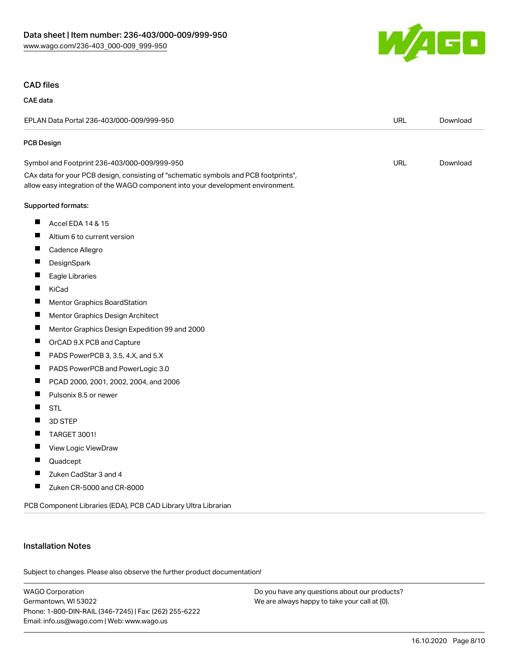

#### CAD files

#### CAE data EPLAN Data Portal 236-403/000-009/999-950 URL [Download](https://www.wago.com/us/d/EPLAN_URLS_236-403%252F000-009%252F999-950) PCB Design Symbol and Footprint 236-403/000-009/999-950 URL [Download](https://www.wago.com/us/d/UltraLibrarian_URLS_236-403_000-009_999-950) CAx data for your PCB design, consisting of "schematic symbols and PCB footprints", allow easy integration of the WAGO component into your development environment. Supported formats: П Accel EDA 14 & 15  $\blacksquare$ Altium 6 to current version П Cadence Allegro  $\blacksquare$ **DesignSpark**  $\blacksquare$ Eagle Libraries  $\blacksquare$ KiCad  $\blacksquare$ Mentor Graphics BoardStation  $\blacksquare$ Mentor Graphics Design Architect  $\blacksquare$ Mentor Graphics Design Expedition 99 and 2000  $\blacksquare$ OrCAD 9.X PCB and Capture П PADS PowerPCB 3, 3.5, 4.X, and 5.X  $\blacksquare$ PADS PowerPCB and PowerLogic 3.0  $\blacksquare$ PCAD 2000, 2001, 2002, 2004, and 2006  $\blacksquare$ Pulsonix 8.5 or newer  $\blacksquare$ STL  $\blacksquare$ 3D STEP  $\blacksquare$ TARGET 3001!  $\blacksquare$ View Logic ViewDraw  $\blacksquare$ Quadcept П Zuken CadStar 3 and 4 П Zuken CR-5000 and CR-8000

PCB Component Libraries (EDA), PCB CAD Library Ultra Librarian

#### Installation Notes

Subject to changes. Please also observe the further product documentation!

WAGO Corporation Germantown, WI 53022 Phone: 1-800-DIN-RAIL (346-7245) | Fax: (262) 255-6222 Email: info.us@wago.com | Web: www.wago.us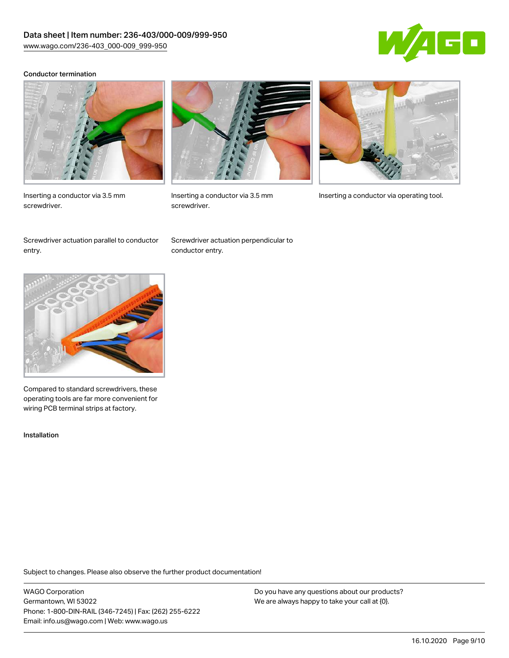

#### Conductor termination



Inserting a conductor via 3.5 mm screwdriver.



screwdriver.

Inserting a conductor via 3.5 mm Inserting a conductor via operating tool.

Screwdriver actuation parallel to conductor entry.

Screwdriver actuation perpendicular to conductor entry.



Compared to standard screwdrivers, these operating tools are far more convenient for wiring PCB terminal strips at factory.

Installation

Subject to changes. Please also observe the further product documentation!

WAGO Corporation Germantown, WI 53022 Phone: 1-800-DIN-RAIL (346-7245) | Fax: (262) 255-6222 Email: info.us@wago.com | Web: www.wago.us